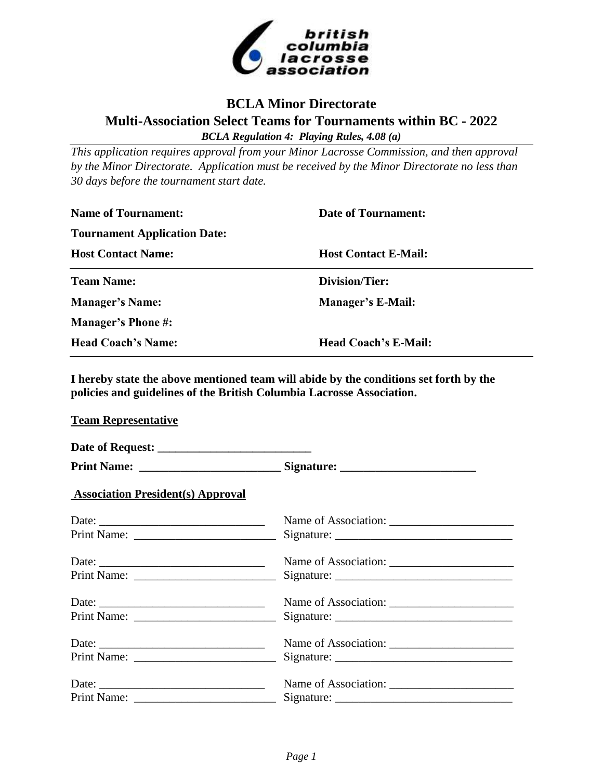

## **BCLA Minor Directorate Multi-Association Select Teams for Tournaments within BC - 2022** *BCLA Regulation 4: Playing Rules, 4.08 (a)*

*This application requires approval from your Minor Lacrosse Commission, and then approval by the Minor Directorate. Application must be received by the Minor Directorate no less than 30 days before the tournament start date.*

| <b>Name of Tournament:</b>          | <b>Date of Tournament:</b>  |  |  |  |  |
|-------------------------------------|-----------------------------|--|--|--|--|
| <b>Tournament Application Date:</b> |                             |  |  |  |  |
| <b>Host Contact Name:</b>           | <b>Host Contact E-Mail:</b> |  |  |  |  |
| <b>Team Name:</b>                   | Division/Tier:              |  |  |  |  |
| <b>Manager's Name:</b>              | <b>Manager's E-Mail:</b>    |  |  |  |  |
| <b>Manager's Phone #:</b>           |                             |  |  |  |  |
| <b>Head Coach's Name:</b>           | <b>Head Coach's E-Mail:</b> |  |  |  |  |

**I hereby state the above mentioned team will abide by the conditions set forth by the policies and guidelines of the British Columbia Lacrosse Association.**

**Team Representative**

|                                                          | Print Name: ___________________________________Signature: _______________________ |  |  |  |
|----------------------------------------------------------|-----------------------------------------------------------------------------------|--|--|--|
| <b>Association President(s) Approval</b>                 |                                                                                   |  |  |  |
|                                                          |                                                                                   |  |  |  |
|                                                          |                                                                                   |  |  |  |
| Date: $\frac{1}{\sqrt{1-\frac{1}{2}} \cdot \frac{1}{2}}$ |                                                                                   |  |  |  |
|                                                          |                                                                                   |  |  |  |
| Date: $\frac{1}{2}$                                      |                                                                                   |  |  |  |
|                                                          |                                                                                   |  |  |  |
| Date: $\frac{1}{2}$                                      |                                                                                   |  |  |  |
|                                                          |                                                                                   |  |  |  |
| Date: $\frac{1}{2}$                                      | Name of Association:                                                              |  |  |  |
|                                                          |                                                                                   |  |  |  |